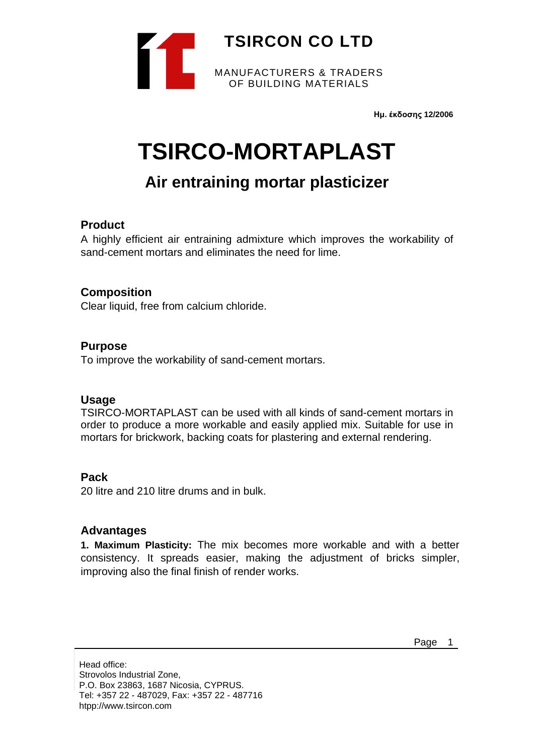

**Ημ. έκδοσης 12/2006**

# **TSIRCO-MORTAPLAST**

## **Air entraining mortar plasticizer**

#### **Product**

A highly efficient air entraining admixture which improves the workability of sand-cement mortars and eliminates the need for lime.

#### **Composition**

Clear liquid, free from calcium chloride.

#### **Purpose**

To improve the workability of sand-cement mortars.

#### **Usage**

TSIRCO-MORTAPLAST can be used with all kinds of sand-cement mortars in order to produce a more workable and easily applied mix. Suitable for use in mortars for brickwork, backing coats for plastering and external rendering.

#### **Pack**

20 litre and 210 litre drums and in bulk.

#### **Advantages**

**1. Maximum Plasticity:** The mix becomes more workable and with a better consistency. It spreads easier, making the adjustment of bricks simpler, improving also the final finish of render works.

Page 1

Head office: Strovolos Industrial Zone, P.O. Box 23863, 1687 Nicosia, CYPRUS. Tel: +357 22 - 487029, Fax: +357 22 - 487716 htpp://www.tsircon.com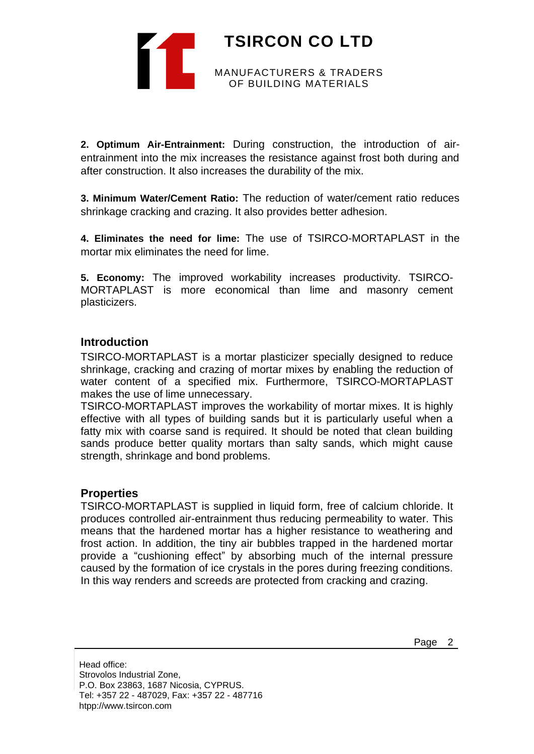

**2. Optimum Air-Entrainment:** During construction, the introduction of airentrainment into the mix increases the resistance against frost both during and after construction. It also increases the durability of the mix.

**3. Minimum Water/Cement Ratio:** The reduction of water/cement ratio reduces shrinkage cracking and crazing. It also provides better adhesion.

**4. Eliminates the need for lime:** The use of TSIRCO-MORTAPLAST in the mortar mix eliminates the need for lime.

**5. Economy:** The improved workability increases productivity. TSIRCO-MORTAPLAST is more economical than lime and masonry cement plasticizers.

#### **Introduction**

TSIRCO-MORTAPLAST is a mortar plasticizer specially designed to reduce shrinkage, cracking and crazing of mortar mixes by enabling the reduction of water content of a specified mix. Furthermore, TSIRCO-MORTAPLAST makes the use of lime unnecessary.

TSIRCO-MORTAPLAST improves the workability of mortar mixes. It is highly effective with all types of building sands but it is particularly useful when a fatty mix with coarse sand is required. It should be noted that clean building sands produce better quality mortars than salty sands, which might cause strength, shrinkage and bond problems.

#### **Properties**

TSIRCO-MORTAPLAST is supplied in liquid form, free of calcium chloride. It produces controlled air-entrainment thus reducing permeability to water. This means that the hardened mortar has a higher resistance to weathering and frost action. In addition, the tiny air bubbles trapped in the hardened mortar provide a "cushioning effect" by absorbing much of the internal pressure caused by the formation of ice crystals in the pores during freezing conditions. In this way renders and screeds are protected from cracking and crazing.

Head office: Strovolos Industrial Zone, P.O. Box 23863, 1687 Nicosia, CYPRUS. Tel: +357 22 - 487029, Fax: +357 22 - 487716 htpp://www.tsircon.com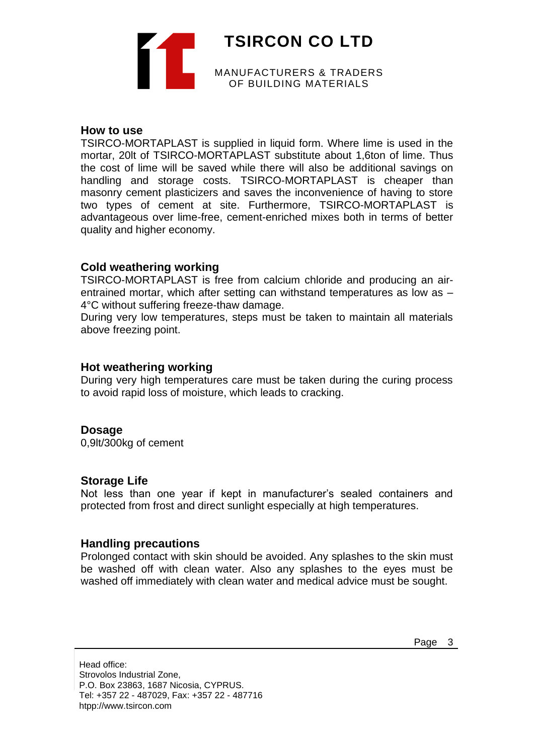**TSIRCON CO LTD** MANUFACTURERS & TRADERS OF BUILDING MATERIALS

#### **How to use**

TSIRCO-MORTAPLAST is supplied in liquid form. Where lime is used in the mortar, 20lt of TSIRCO-MORTAPLAST substitute about 1,6ton of lime. Thus the cost of lime will be saved while there will also be additional savings on handling and storage costs. TSIRCO-MORTAPLAST is cheaper than masonry cement plasticizers and saves the inconvenience of having to store two types of cement at site. Furthermore, TSIRCO-MORTAPLAST is advantageous over lime-free, cement-enriched mixes both in terms of better quality and higher economy.

#### **Cold weathering working**

TSIRCO-MORTAPLAST is free from calcium chloride and producing an airentrained mortar, which after setting can withstand temperatures as low as – 4°C without suffering freeze-thaw damage.

During very low temperatures, steps must be taken to maintain all materials above freezing point.

#### **Hot weathering working**

During very high temperatures care must be taken during the curing process to avoid rapid loss of moisture, which leads to cracking.

#### **Dosage**

0,9lt/300kg of cement

#### **Storage Life**

Not less than one year if kept in manufacturer's sealed containers and protected from frost and direct sunlight especially at high temperatures.

#### **Handling precautions**

Prolonged contact with skin should be avoided. Any splashes to the skin must be washed off with clean water. Also any splashes to the eyes must be washed off immediately with clean water and medical advice must be sought.

Page 3

Head office: Strovolos Industrial Zone, P.O. Box 23863, 1687 Nicosia, CYPRUS. Tel: +357 22 - 487029, Fax: +357 22 - 487716 htpp://www.tsircon.com